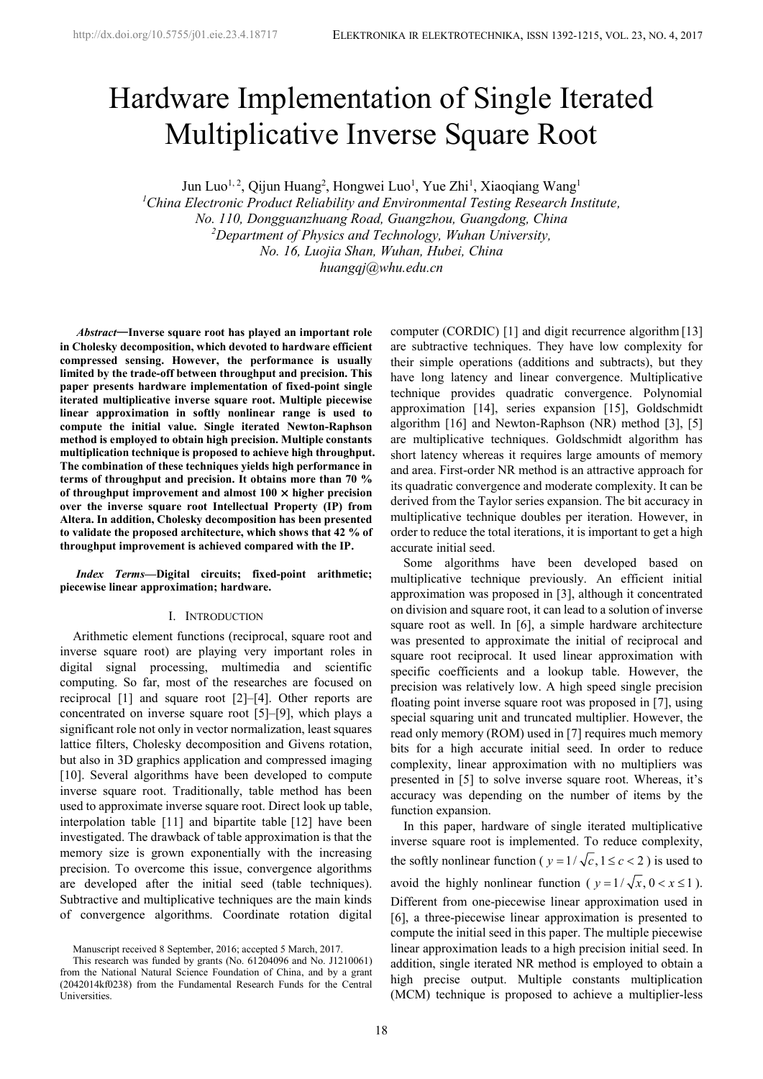# Hardware Implementation of Single Iterated Multiplicative Inverse Square Root

Jun Luo<sup>1, 2</sup>, Qijun Huang<sup>2</sup>, Hongwei Luo<sup>1</sup>, Yue Zhi<sup>1</sup>, Xiaoqiang Wang<sup>1</sup>

*<sup>1</sup>China Electronic Product Reliability and Environmental Testing Research Institute, No. 110, Dongguanzhuang Road, Guangzhou, Guangdong, China <sup>2</sup>Department of Physics and Technology, Wuhan University, No. 16, Luojia Shan, Wuhan, Hubei, China huangqj@whu.edu.cn*

*<sup>1</sup>Abstract***—Inverse square root has played an important role in Cholesky decomposition, which devoted to hardware efficient compressed sensing. However, the performance is usually limited by the trade-off between throughput and precision. This paper presents hardware implementation of fixed-point single iterated multiplicative inverse square root. Multiple piecewise linear approximation in softly nonlinear range is used to compute the initial value. Single iterated Newton-Raphson method is employed to obtain high precision. Multiple constants multiplication technique is proposed to achieve high throughput. The combination of these techniques yields high performance in terms of throughput and precision. It obtains more than 70 % of throughput improvement and almost 100 × higher precision over the inverse square root Intellectual Property (IP) from Altera. In addition, Cholesky decomposition has been presented to validate the proposed architecture, which shows that 42 % of throughput improvement is achieved compared with the IP.**

*Index Terms***—Digital circuits; fixed-point arithmetic; piecewise linear approximation; hardware.**

# I. INTRODUCTION

Arithmetic element functions (reciprocal, square root and inverse square root) are playing very important roles in digital signal processing, multimedia and scientific computing. So far, most of the researches are focused on reciprocal [1] and square root [2]–[4]. Other reports are concentrated on inverse square root [5]–[9], which plays a significant role not only in vector normalization, least squares lattice filters, Cholesky decomposition and Givens rotation, but also in 3D graphics application and compressed imaging [10]. Several algorithms have been developed to compute inverse square root. Traditionally, table method has been used to approximate inverse square root. Direct look up table, interpolation table [11] and bipartite table [12] have been investigated. The drawback of table approximation is that the memory size is grown exponentially with the increasing<br>the softly nonlinear function ( $y = 1/\sqrt{c}$ ,  $1 \le c < 2$ ) is used to precision. To overcome this issue, convergence algorithms<br>are developed after the initial seed (table techniques). avoid the highly nonlinear function ( $y = 1/\sqrt{x}$ ,  $0 < x \le 1$ ). are developed after the initial seed (table techniques). Subtractive and multiplicative techniques are the main kinds of convergence algorithms. Coordinate rotation digital

Manuscript received 8 September, 2016; accepted 5 March, 2017.

This research was funded by grants (No. 61204096 and No. J1210061) from the National Natural Science Foundation of China, and by a grant (2042014kf0238) from the Fundamental Research Funds for the Central Universities.

computer (CORDIC) [1] and digit recurrence algorithm [13] are subtractive techniques. They have low complexity for their simple operations (additions and subtracts), but they have long latency and linear convergence. Multiplicative technique provides quadratic convergence. Polynomial approximation [14], series expansion [15], Goldschmidt algorithm [16] and Newton-Raphson (NR) method [3],[5] are multiplicative techniques. Goldschmidt algorithm has short latency whereas it requires large amounts of memory and area. First-order NR method is an attractive approach for its quadratic convergence and moderate complexity. It can be derived from the Taylor series expansion. The bit accuracy in multiplicative technique doubles per iteration. However, in order to reduce the total iterations, it is important to get a high accurate initial seed.

Some algorithms have been developed based on multiplicative technique previously. An efficient initial approximation was proposed in [3], although it concentrated on division and square root, it can lead to a solution of inverse square root as well. In [6], a simple hardware architecture was presented to approximate the initial of reciprocal and square root reciprocal. It used linear approximation with specific coefficients and a lookup table. However, the precision was relatively low. A high speed single precision floating point inverse square root was proposed in [7], using special squaring unit and truncated multiplier. However, the read only memory (ROM) used in [7] requires much memory bits for a high accurate initial seed. In order to reduce complexity, linear approximation with no multipliers was presented in [5] to solve inverse square root. Whereas, it's accuracy was depending on the number of items by the function expansion. order to reduce the total iterations, it is important to get a high<br>accurate intital seed.<br>Foreme algorithms have been developed based on<br>multiplicative technique previously. An efficient initial<br>approximation was propose Some algorithms have been developed based on multiplicative technique previously. An efficient initial approximation was proposed in [3], although it concentrated approximation was presented to approximate the initial of

In this paper, hardware of single iterated multiplicative inverse square root is implemented. To reduce complexity, Different from one-piecewise linear approximation used in [6], a three-piecewise linear approximation is presented to compute the initial seed in this paper. The multiple piecewise linear approximation leads to a high precision initial seed. In addition, single iterated NR method is employed to obtain a high precise output. Multiple constants multiplication (MCM) technique is proposed to achieve a multiplier-less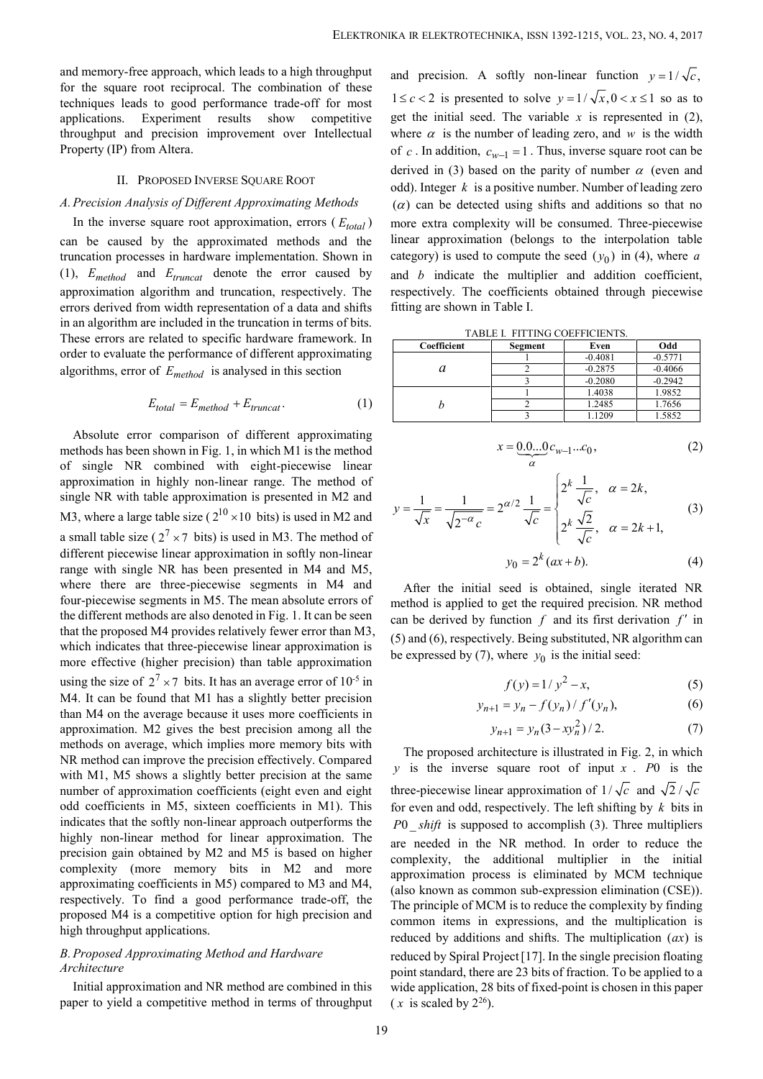and memory-free approach, which leads to a high throughput and precision. A softly non-linear function  $y = 1/\sqrt{c}$ , for the square root reciprocal. The combination of these<br>techniques leads to good performance trade off for most  $1 \leq c < 2$  is presented to solve  $y = 1/\sqrt{x}, 0 < x \leq 1$  so as to techniques leads to good performance trade-off for most applications. Experiment results show competitive throughput and precision improvement over Intellectual Property (IP) from Altera.

# II. PROPOSED INVERSE SOUARE ROOT

In the inverse square root approximation, errors  $(E_{total})$ can be caused by the approximated methods and the truncation processes in hardware implementation. Shown in (1), *Emethod* and *Etruncat* denote the error caused by approximation algorithm and truncation, respectively. The errors derived from width representation of a data and shifts in an algorithm are included in the truncation in terms of bits. These errors are related to specific hardware framework. In order to evaluate the performance of different approximating algorithms, error of *Emethod* is analysed in this section

$$
E_{total} = E_{method} + E_{truncat}.
$$
 (1)

Absolute error comparison of different approximating methods has been shown in Fig. 1, in which M1 is the method of single NR combined with eight-piecewise linear approximation in highly non-linear range. The method of single NR with table approximation is presented in M2 and Absolute error comparison of different approximating and and the multiple of the multiple size ( 10 cm in the directed tump size ( 10 cm in the cosmol of the multiple consumed. Three can be caused by the approximation, er and the mother and the most controllation of the method in Figs. 1. In the method is upplied the multiple in the controllation processes in hardware implementation. Shown in category) is used to compute the seed by and  $E$ different piecewise linear approximation in softly non-linear range with single NR has been presented in M4 and M5, where there are three-piecewise segments in M4 and four-piecewise segments in M5. The mean absolute errors of the different methods are also denoted in Fig. 1. It can be seen that the proposed M4 provides relatively fewer error than M3, which indicates that three-piecewise linear approximation is more effective (higher precision) than table approximation algorithms, error of  $E_{method}$  is analysed in this section<br>  $E_{total} = E_{method} + E_{truncat}$ . (1)<br>
Absolute error comparison of different approximating<br>
methods has been shown in Fig. 1, in which M1 is the method<br>
of rangle NR with table using the size of  $2^7 \times 7$  bits. It has an average error of  $10^{-5}$  in M4. It can be found that M1 has a slightly better precision than M4 on the average because it uses more coefficients in approximation. M2 gives the best precision among all the methods on average, which implies more memory bits with NR method can improve the precision effectively. Compared with M1, M5 shows a slightly better precision at the same<br>number of approximation coefficients (eight even and eight three-piecewise linear approximation of  $1/\sqrt{c}$  and  $\sqrt{2}/\sqrt{c}$ number of approximation coefficients (eight even and eight odd coefficients in M5, sixteen coefficients in M1). This indicates that the softly non-linear approach outperforms the  $P0$  shift is supposed to accomplish (3). Three multipliers highly non-linear method for linear approximation. The precision gain obtained by M2 and M5 is based on higher complexity (more memory bits in M2 and more approximating coefficients in M5) compared to M3 and M4, respectively. To find a good performance trade-off, the proposed M4 is a competitive option for high precision and high throughput applications.

# *B.Proposed Approximating Method and Hardware Architecture*

Initial approximation and NR method are combined in this paper to yield a competitive method in terms of throughput

*A.Precision Analysis of Different Approximating Methods* and precision. A softly non-linear function y<br>sort reciprocal. The combination of these<br>oot reciprocal. The combination of these<br>typeriment results show competitive get the initial seed. The variable x is represent<br>precis KA IR ELEKTROTECHNIKA, ISSN 1392-1215, VOL. 23, NO. 4, 2017<br>and precision. A softly non-linear function  $y = 1/\sqrt{c}$ ,<br> $1 \le c < 2$  is presented to solve  $y = 1/\sqrt{x}$ ,  $0 < x \le 1$  so as to<br>get the initial seed. The variable x is r KA IR ELEKTROTECHNIKA, ISSN 1392-1215, VOL. 23, NO. 4, 2017<br>and precision. A softly non-linear function  $y = 1/\sqrt{c}$ ,<br> $1 \le c < 2$  is presented to solve  $y = 1/\sqrt{x}$ ,  $0 < x \le 1$  so as to<br>get the initial seed. The variable *x* is get the initial seed. The variable  $x$  is represented in  $(2)$ , where  $\alpha$  is the number of leading zero, and  $w$  is the width of *c*. In addition,  $c_{w-1} = 1$ . Thus, inverse square root can be derived in (3) based on the parity of number  $\alpha$  (even and odd). Integer *k* is a positive number. Number of leading zero KA IR ELEKTROTECHNIKA, ISSN 1392-1215, VOL. 23, NO. 4, 2017<br>
and precision. A softly non-linear function  $y = 1/\sqrt{c}$ ,<br>  $1 \leq c < 2$  is presented to solve  $y = 1/\sqrt{x}$ ,  $0 < x \leq 1$  so as to<br>
get the initial seed. The variable x more extra complexity will be consumed. Three-piecewise linear approximation (belongs to the interpolation table category) is used to compute the seed  $(y_0)$  in (4), where a 5, VOL. 23, NO. 4, 2017<br>
function  $y = 1/\sqrt{c}$ ,<br>  $\sqrt{x}$ ,  $0 < x \le 1$  so as to<br>
s represented in (2),<br>
b, and w is the width<br>
rse square root can be<br>
number  $\alpha$  (even and<br>
umber of leading zero<br>
additions so that no<br>
med. Th and *b* indicate the multiplier and addition coefficient, respectively. The coefficients obtained through piecewise fitting are shown in Table I. ber or leading zero, and *w* is die what<br>  $y_{-1} = 1$ . Thus, inverse square root can be<br>
on the parity of number  $\alpha$  (even and<br>
oositive number. Number of leading zero<br>
it using shifts and additions so that no<br>
tity will ber. Number of leading zero<br>s and additions so that no<br>consumed. Three-piecewise<br>to the interpolation table<br>seed  $(y_0)$  in (4), where a<br>and addition coefficient,<br>btained through piecewise<br> $\frac{0.2875}{0.4081}$ <br> $\frac{0.4081}{0.$ megar *K* is a positive number. Number or leading zero<br>
an be detected using shifts and additions so that no<br>
extra complexity will be consumed. Three-piecewise<br>
approximation (belongs to the interpolation table<br>
ory) is complexity will be consumed. Three-piecewise<br>
ximation (belongs to the interpolation table<br>
used to compute the seed  $(y_0)$  in (4), where a<br>
cate the multiplier and addition coefficient,<br>
The coefficients obtained through d). Integer *k* is a positive number. Number of leading zero<br>
(c) can be detected using shifts and additions so that no<br>
ore extra complexity will be consumed. Three-piecewise<br>
ear approximation (belongs to the interpolat fts and additions so that no<br>
consumed. Three-piecewise<br>
to the interpolation table<br>
ie seed  $(y_0)$  in (4), where *a*<br>
r and addition coefficient,<br>
obtained through piecewise<br>
COEFFICIENTS.<br>
Even Odd<br>
-0.4081<br>
-0.5771<br>
-0 (belongs to the interpolation table<br>
mpute the seed  $(y_0)$  in (4), where a<br>
multiplier and addition coefficient,<br>
fficients obtained through piecewise<br>
ble I.<br>
FITTING COEFFICIENTS.<br>
Segment Even Odd<br>
1 0.4081 0.2080 0.29

TABLE I. FITTING COEFFICIENTS.

| Coefficient | Segment | Even      | Odd       |  |
|-------------|---------|-----------|-----------|--|
|             |         | $-0.4081$ | $-0.5771$ |  |
|             |         | $-0.2875$ | $-0.4066$ |  |
|             |         | $-0.2080$ | $-0.2942$ |  |
|             |         | 1.4038    | 1.9852    |  |
|             |         | 1.2485    | 1.7656    |  |
|             |         | .1209     | 1.5852    |  |

$$
x = \underbrace{0.0...0}_{\alpha} c_{w-1}...c_0, \tag{2}
$$

$$
y = \frac{1}{\sqrt{x}} = \frac{1}{\sqrt{2^{-\alpha} c}} = 2^{\alpha/2} \frac{1}{\sqrt{c}} = \begin{cases} 2^k \frac{1}{\sqrt{c}}, & \alpha = 2k, \\ 2^k \frac{\sqrt{2}}{\sqrt{c}}, & \alpha = 2k + 1, \end{cases}
$$
(3)

$$
y_0 = 2^k (ax + b). \tag{4}
$$

After the initial seed is obtained, single iterated NR method is applied to get the required precision. NR method can be derived by function  $f$  and its first derivation  $f'$  in (5) and (6), respectively. Being substituted, NR algorithm can be expressed by (7), where  $y_0$  is the initial seed:  $\frac{2}{3}$   $\frac{0.4081}{0.2875}$   $\frac{0.0871}{0.4066}$ <br>  $\frac{3}{3}$   $\frac{-0.2080}{0.2096}$   $\frac{-0.2942}{0.2984}$ <br>  $\frac{1}{1}$   $\frac{1.4038}{1.9852}$   $\frac{1.7656}{1.7656}$ <br>  $\frac{3}{3}$   $\frac{1.1209}{1.1209}$   $\frac{1.5852}{1.5852}$ <br>  $= 0.0...0c_{w-1}...c_$  $\frac{3}{1}$ <br>  $\frac{0.2080}{1}$ <br>  $\frac{0.2080}{1}$ <br>  $\frac{0.2942}{1}$ <br>  $\frac{1}{2}$ <br>  $\frac{1}{2}$ <br>  $\frac{1}{2}$ <br>  $\frac{1}{2}$ <br>  $\frac{1}{2}$ <br>  $\frac{1}{2}$ <br>  $\frac{1}{2}$ <br>  $\frac{1}{\sqrt{c}}$ <br>  $\frac{1}{\sqrt{c}}$ <br>  $\frac{1}{\sqrt{c}}$ <br>  $\frac{1}{\sqrt{c}}$ <br>  $\frac{1}{\sqrt{c}}$ <br>  $\frac{1}{\sqrt{c}}$ <br>

$$
f(y) = 1/y^2 - x,\t\t(5)
$$

$$
y_{n+1} = y_n - f(y_n) / f'(y_n),
$$
 (6)

$$
y_{n+1} = y_n (3 - xy_n^2) / 2. \tag{7}
$$

 $\frac{2}{3}$   $\frac{1.2485}{1.1209}$   $\frac{1.7656}{1.5852}$ <br>  $x = 0.0...0c_{w-1}...c_0$ , (2)<br>  $\frac{a}{\sqrt{c}}$   $\frac{1}{\sqrt{c}}$   $\frac{1}{\sqrt{c}}$   $\frac{1}{\sqrt{c}}$ ,  $\alpha = 2k$ ,<br>  $\frac{2}{\sqrt{c}}$   $\frac{1}{2}$   $\frac{1}{\sqrt{c}}$ ,  $\frac{1}{\sqrt{c}}$ ,  $\alpha = 2k + 1$ ,<br>  $y_0 = 2^k (ax + b)$ The proposed architecture is illustrated in Fig. 2, in which *y* is the inverse square root of input *x* . *P*0 is the  $y = \frac{1}{\sqrt{x}} = \frac{1}{\sqrt{2^{-\alpha}}c} = 2^{\alpha/2} \frac{1}{\sqrt{c}} = \begin{cases} 2^k \frac{1}{\sqrt{c}}, & \alpha = 2k, \\ 2^k \frac{\sqrt{2}}{\sqrt{c}}, & \alpha = 2k+1, \end{cases}$ <br>  $y_0 = 2^k (\alpha x + b).$  (4)<br>
After the initial seed is obtained, single iterated NR<br>
method is applied to get the requ for even and odd, respectively. The left shifting by *k* bits in  $\sqrt{x}$   $\sqrt{2^{-\alpha}} c$   $\sqrt{c}$   $2^k \frac{\sqrt{2}}{\sqrt{c}}$ ,  $\alpha = 2k+1$ ,<br>  $y_0 = 2^k (ax+b)$ . (4)<br>
After the initial seed is obtained, single iterated NR<br>
method is applied to get the required precision. NR method<br>
can be derived by functio are needed in the NR method. In order to reduce the complexity, the additional multiplier in the initial approximation process is eliminated by MCM technique (also known as common sub-expression elimination (CSE)). The principle of MCM is to reduce the complexity by finding common items in expressions, and the multiplication is (5) and (6), respectively. Being substituted, NR algorithm can<br>be expressed by (7), where  $y_0$  is the initial seed:<br> $f(y) = 1/y^2 - x$ , (5)<br> $y_{n+1} = y_n - f(y_n)/f'(y_n)$ , (6)<br> $y_{n+1} = y_n(3 - xy_n^2)/2$ . (7)<br>The proposed architecture is ill reduced by Spiral Project[17]. In the single precision floating point standard, there are 23 bits of fraction. To be applied to a wide application, 28 bits of fixed-point is chosen in this paper  $(x$  is scaled by  $2^{26}$ ).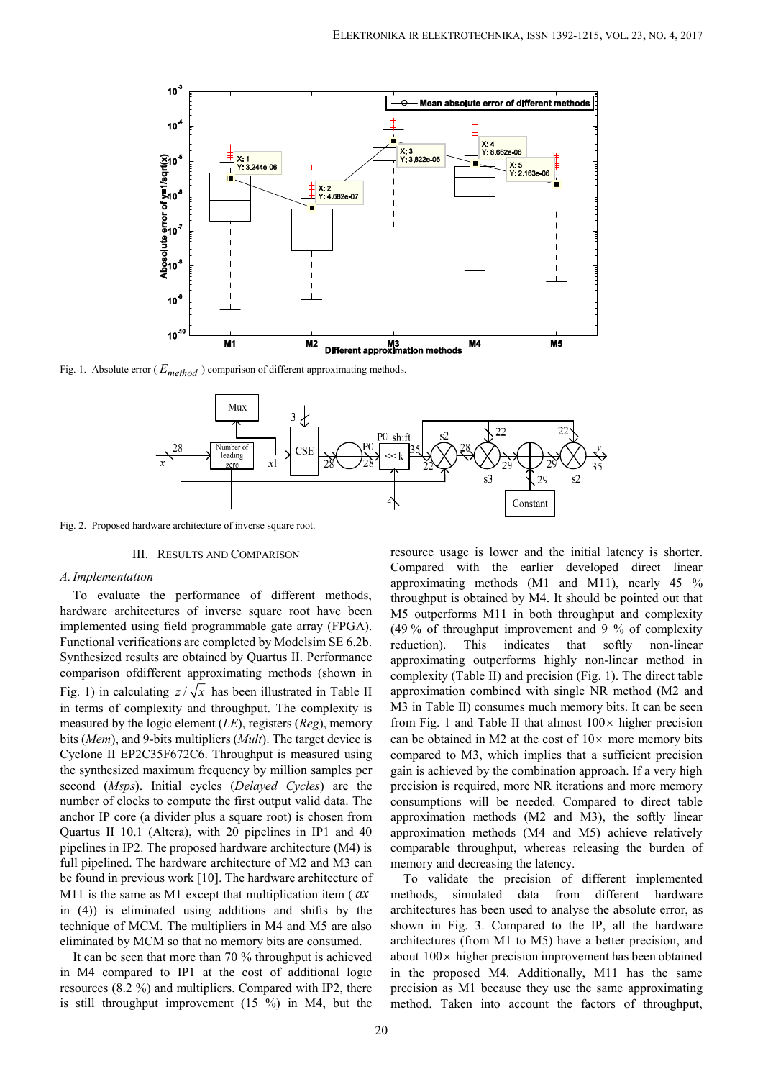

Fig. 1. Absolute error ( *Emethod* ) comparison of different approximating methods.



Fig. 2. Proposed hardware architecture of inverse square root.

## III. RESULTS AND COMPARISON

#### *A.Implementation*

To evaluate the performance of different methods, hardware architectures of inverse square root have been implemented using field programmable gate array (FPGA). Functional verifications are completed by Modelsim SE 6.2b. reduction). Synthesized results are obtained by Quartus II. Performance comparison ofdifferent approximating methods (shown in Fig. 2. Proposed hardware architecture of inverse square root.<br>
The same of the calculation of inverse square root.<br>
III. RESULTS AND COMPARISON<br>
The same of the calculation of comparison of the calculation of the calcula in terms of complexity and throughput. The complexity is measured by the logic element (*LE*), registers (*Reg*), memory bits (*Mem*), and 9-bits multipliers (*Mult*). The target device is Cyclone II EP2C35F672C6. Throughput is measured using the synthesized maximum frequency by million samples per second (*Msps*). Initial cycles (*Delayed Cycles*) are the number of clocks to compute the first output valid data. The anchor IP core (a divider plus a square root) is chosen from Quartus II 10.1 (Altera), with 20 pipelines in IP1 and 40 pipelines in IP2. The proposed hardware architecture (M4) is full pipelined. The hardware architecture of M2 and M3 can be found in previous work [10]. The hardware architecture of M11 is the same as M1 except that multiplication item (*ax* methods, simulated data in (4)) is eliminated using additions and shifts by the technique of MCM. The multipliers in M4 and M5 are also eliminated by MCM so that no memory bits are consumed.

It can be seen that more than 70 % throughput is achieved in M4 compared to IP1 at the cost of additional logic resources (8.2 %) and multipliers. Compared with IP2, there is still throughput improvement (15 %) in M4, but the resource usage is lower and the initial latency is shorter. Compared with the earlier developed direct linear approximating methods (M1 and M11), nearly 45 % throughput is obtained by M4. It should be pointed out that M5 outperforms M11 in both throughput and complexity (49 % of throughput improvement and 9 % of complexity This indicates that softly non-linear approximating outperforms highly non-linear method in complexity (Table II) and precision (Fig. 1). The direct table approximation combined with single NR method (M2 and M3 in Table II) consumes much memory bits. It can be seen from Fig. 1 and Table II that almost  $100 \times$  higher precision can be obtained in M2 at the cost of  $10 \times$  more memory bits compared to M3, which implies that a sufficient precision gain is achieved by the combination approach. If a very high precision is required, more NR iterations and more memory consumptions will be needed. Compared to direct table approximation methods (M2 and M3), the softly linear approximation methods (M4 and M5) achieve relatively comparable throughput, whereas releasing the burden of memory and decreasing the latency.

To validate the precision of different implemented from different hardware architectures has been used to analyse the absolute error, as shown in Fig. 3. Compared to the IP, all the hardware architectures (from M1 to M5) have a better precision, and about  $100 \times$  higher precision improvement has been obtained in the proposed M4. Additionally, M11 has the same precision as M1 because they use the same approximating method. Taken into account the factors of throughput,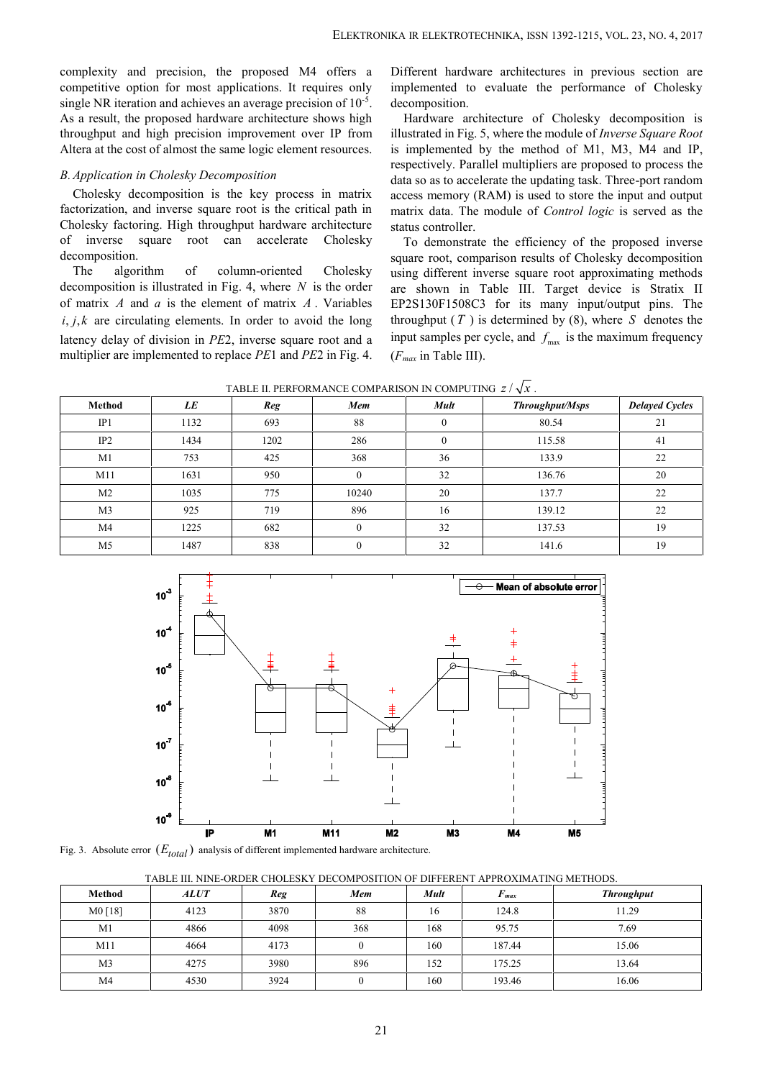complexity and precision, the proposed M4 offers a competitive option for most applications. It requires only single NR iteration and achieves an average precision of  $10^{-5}$ . As a result, the proposed hardware architecture shows high throughput and high precision improvement over IP from Altera at the cost of almost the same logic element resources.

# *B.Application in Cholesky Decomposition*

The algorithm of column-oriented Cholesky decomposition is illustrated in Fig. 4, where *N* is the order of matrix *A* and *a* is the element of matrix *A* . Variables **ELEKTRONIKA IR ELEKTRONIKA IR ELEKTRONIC**<br> **issingle NR iteration and achieves an average precision of 10<sup>-3</sup>. decomposition<br>
Single NR iteration and achieves an average precision of 10<sup>-3</sup>. decomposition<br>
As a result, th** latency delay of division in *PE*2, inverse square root and a multiplier are implemented to replace *PE*1 and *PE*2 in Fig.4.

. decomposition. Different hardware architectures in previous section are implemented to evaluate the performance of Cholesky

| competitive option for most applications. It requires only<br>single NR iteration and achieves an average precision of $10^{-5}$ .<br>As a result, the proposed hardware architecture shows high                                                                                                                                                                                             |                                                           |                 |                  | implemented to evaluate the performance of Cholesky                                                                                                                                                                                                                                                                                                                                                                                                                                                                                                                                    |                                                                        |                       |  |  |
|----------------------------------------------------------------------------------------------------------------------------------------------------------------------------------------------------------------------------------------------------------------------------------------------------------------------------------------------------------------------------------------------|-----------------------------------------------------------|-----------------|------------------|----------------------------------------------------------------------------------------------------------------------------------------------------------------------------------------------------------------------------------------------------------------------------------------------------------------------------------------------------------------------------------------------------------------------------------------------------------------------------------------------------------------------------------------------------------------------------------------|------------------------------------------------------------------------|-----------------------|--|--|
|                                                                                                                                                                                                                                                                                                                                                                                              |                                                           |                 |                  | decomposition.<br>Hardware architecture of Cholesky decomposition is                                                                                                                                                                                                                                                                                                                                                                                                                                                                                                                   |                                                                        |                       |  |  |
| throughput and high precision improvement over IP from                                                                                                                                                                                                                                                                                                                                       |                                                           |                 |                  |                                                                                                                                                                                                                                                                                                                                                                                                                                                                                                                                                                                        | illustrated in Fig. 5, where the module of Inverse Square Root         |                       |  |  |
| Altera at the cost of almost the same logic element resources.                                                                                                                                                                                                                                                                                                                               |                                                           |                 |                  | is implemented by the method of M1, M3, M4 and IP,                                                                                                                                                                                                                                                                                                                                                                                                                                                                                                                                     |                                                                        |                       |  |  |
| B. Application in Cholesky Decomposition<br>factorization, and inverse square root is the critical path in<br>Cholesky factoring. High throughput hardware architecture<br>of inverse square root can accelerate Cholesky<br>decomposition.<br>algorithm<br>The<br>decomposition is illustrated in Fig. 4, where $N$ is the order<br>of matrix A and a is the element of matrix A. Variables | Cholesky decomposition is the key process in matrix<br>of | column-oriented | Cholesky         | respectively. Parallel multipliers are proposed to process the<br>data so as to accelerate the updating task. Three-port random<br>access memory (RAM) is used to store the input and output<br>matrix data. The module of <i>Control logic</i> is served as the<br>status controller.<br>To demonstrate the efficiency of the proposed inverse<br>square root, comparison results of Cholesky decomposition<br>using different inverse square root approximating methods<br>are shown in Table III. Target device is Stratix II<br>EP2S130F1508C3 for its many input/output pins. The |                                                                        |                       |  |  |
| $i, j, k$ are circulating elements. In order to avoid the long                                                                                                                                                                                                                                                                                                                               |                                                           |                 |                  | throughput $(T)$ is determined by $(8)$ , where S denotes the                                                                                                                                                                                                                                                                                                                                                                                                                                                                                                                          |                                                                        |                       |  |  |
| latency delay of division in PE2, inverse square root and a<br>multiplier are implemented to replace PE1 and PE2 in Fig. 4.                                                                                                                                                                                                                                                                  |                                                           |                 |                  | $(F_{max}$ in Table III).                                                                                                                                                                                                                                                                                                                                                                                                                                                                                                                                                              | input samples per cycle, and $f_{\text{max}}$ is the maximum frequency |                       |  |  |
|                                                                                                                                                                                                                                                                                                                                                                                              |                                                           |                 |                  | TABLE II. PERFORMANCE COMPARISON IN COMPUTING $z/\sqrt{x}$ .                                                                                                                                                                                                                                                                                                                                                                                                                                                                                                                           |                                                                        |                       |  |  |
| Method                                                                                                                                                                                                                                                                                                                                                                                       | LE                                                        | Reg             | Mem              | Mult                                                                                                                                                                                                                                                                                                                                                                                                                                                                                                                                                                                   | <b>Throughput/Msps</b>                                                 | <b>Delayed Cycles</b> |  |  |
| IP1                                                                                                                                                                                                                                                                                                                                                                                          | 1132                                                      | 693             | 88               | $\mathbf{0}$                                                                                                                                                                                                                                                                                                                                                                                                                                                                                                                                                                           | 80.54                                                                  | 21                    |  |  |
| IP2                                                                                                                                                                                                                                                                                                                                                                                          | 1434                                                      | 1202            | 286              | $\overline{0}$                                                                                                                                                                                                                                                                                                                                                                                                                                                                                                                                                                         | 115.58                                                                 | 41                    |  |  |
| M1                                                                                                                                                                                                                                                                                                                                                                                           | 753                                                       | 425             | 368              | 36                                                                                                                                                                                                                                                                                                                                                                                                                                                                                                                                                                                     | 133.9                                                                  | 22                    |  |  |
| M11                                                                                                                                                                                                                                                                                                                                                                                          | 1631                                                      | 950             | $\mathbf{0}$     | 32                                                                                                                                                                                                                                                                                                                                                                                                                                                                                                                                                                                     | 136.76                                                                 | 20                    |  |  |
| M <sub>2</sub>                                                                                                                                                                                                                                                                                                                                                                               | 1035                                                      | 775             | 10240            | 20                                                                                                                                                                                                                                                                                                                                                                                                                                                                                                                                                                                     | 137.7                                                                  | 22                    |  |  |
| M <sub>3</sub>                                                                                                                                                                                                                                                                                                                                                                               | 925                                                       | 719             | 896              | 16                                                                                                                                                                                                                                                                                                                                                                                                                                                                                                                                                                                     | 139.12                                                                 | 22                    |  |  |
| M <sub>4</sub>                                                                                                                                                                                                                                                                                                                                                                               | 1225                                                      | 682             | $\boldsymbol{0}$ | 32                                                                                                                                                                                                                                                                                                                                                                                                                                                                                                                                                                                     | 137.53                                                                 | 19                    |  |  |
| M <sub>5</sub>                                                                                                                                                                                                                                                                                                                                                                               | 1487                                                      | 838             | $\boldsymbol{0}$ | 32<br>19<br>141.6                                                                                                                                                                                                                                                                                                                                                                                                                                                                                                                                                                      |                                                                        |                       |  |  |
|                                                                                                                                                                                                                                                                                                                                                                                              |                                                           |                 |                  |                                                                                                                                                                                                                                                                                                                                                                                                                                                                                                                                                                                        |                                                                        |                       |  |  |



| TABLE III. NINE-ORDER CHOLESKY DECOMPOSITION OF DIFFERENT APPROXIMATING METHODS |  |
|---------------------------------------------------------------------------------|--|
|---------------------------------------------------------------------------------|--|

| <b>Method</b>  | <b>ALUT</b> | Reg  | Mem | Mult | $F_{max}$ | <b>Throughput</b> |
|----------------|-------------|------|-----|------|-----------|-------------------|
| $M0$ [18]      | 4123        | 3870 | 88  | 16   | 124.8     | 11.29             |
| M1             | 4866        | 4098 | 368 | 168  | 95.75     | 7.69              |
| M11            | 4664        | 4173 |     | 160  | 187.44    | 15.06             |
| M <sub>3</sub> | 4275        | 3980 | 896 | 152  | 175.25    | 13.64             |
| M <sub>4</sub> | 4530        | 3924 |     | 160  | 193.46    | 16.06             |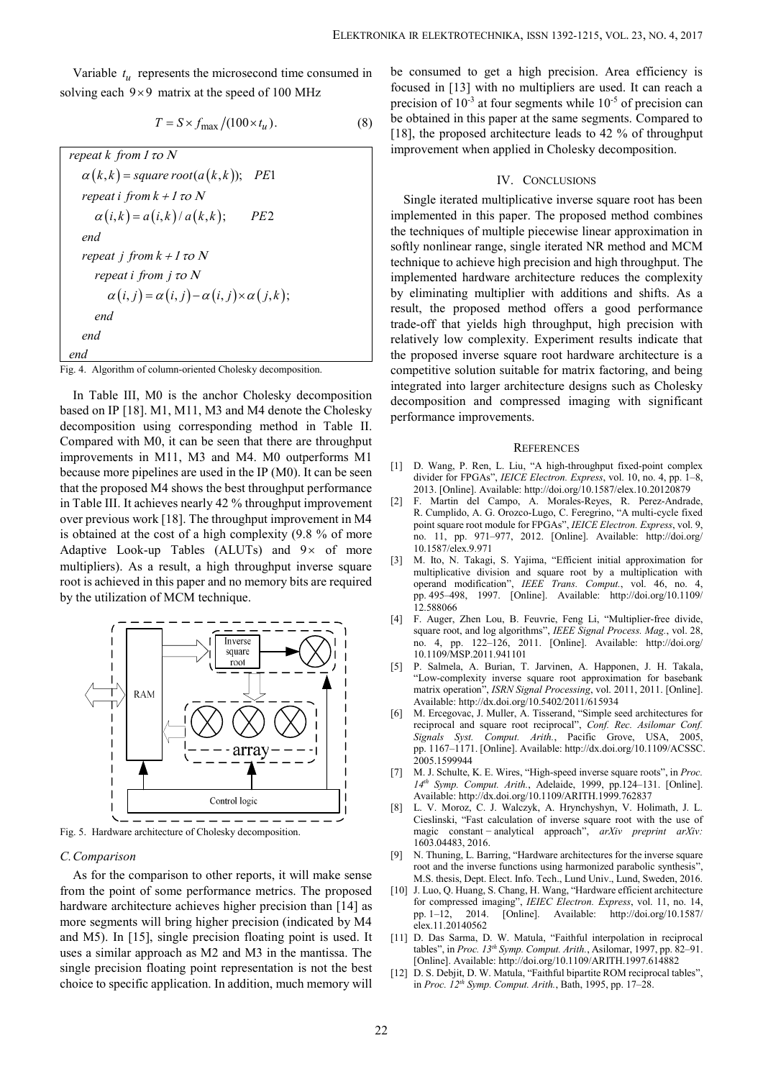Variable  $t_u$  represents the microsecond time consumed in be consumed the  $t_u$ 

$$
T = S \times f_{\text{max}} / (100 \times t_u). \tag{8}
$$

ELEKTRONIKA IR ELEKTROTECHNIKA, ISSN 1392-1215, VOL. 23, NO. 4, 2017<br>
giable  $t_u$  represents the microsecond time consumed in the consumed to get a high precision. Area efficiency is<br>
giable  $9 \times 9$  matrix at the speed of ELEKTRONIKA IR ELEKTROTECHNIKA, ISSN 1392-1215, VOL. 23, NO. 4, 2017<br>
le  $t_u$  represents the microsecond time consumed in the consumed to get a high precision. Area efficiency is<br>
ach 9x9 matrix at the speed of 100 MHz<br>
f ELEKTRONIKA IR ELEKTROTECHNIKA, ISSN 1392-1215, VOL. 23, NO. 4,<br>
be  $t_u$  represents the microsecond time consumed in<br>
and  $\theta \times 9$  matrix at the speed of 100 MHz<br>  $T = S \times f_{\text{max}}/(100 \times t_u)$ .<br>  $\pi = S \times f_{\text{max}}/(100 \times t_u)$ .<br>
(8) b ELEKTRONIKA IR ELEKTROTECHNIKA, ISSN 1392-1215, VOL. 23, NO. 4,<br>  $h_y \times 9$  matrix at the speed of 100 MHz<br>
the M<sub>2</sub> strain the speed of 100 MHz<br>  $f = S \times f_{\text{max}}/(100 \times t_u)$ .<br>
(8) the obtained in [13] with no multipliers are us ELEKTRONIKA IR ELEKTROTECHNIKA, ISSN 1392-1215, VOL.<br>
<br> *u* represents the microsecond time consumed in<br>  $T = S \times f_{\text{max}}/(100 \times t_u)$ .<br>
(8) be obtained in 113] with no multipliers are used.<br>
precision of 10<sup>3</sup> at four segments ELEKTRONIKA IR ELEKTROTECHNIKA,<br>
Variable  $t_u$  represents the microsecond time consumed in the consumed to get a h<br>
blving each 9×9 matrix at the speed of 100 MHz<br>  $T = S \times f_{\text{max}}/(100 \times t_u)$ .<br>  $T = S \times f_{\text{max}}/(100 \times t_u)$ .<br>
(8) t **ELEKTRONIKA IR ELEKTROTECHNIKA**, ISSN 1392-1215, VOL. 23, No<br>
able  $t_u$  represents the microsecond time consumed in the consumed to get a high precision. Area efficience<br>
each 9×9 matrix at the speed of 100 MHz<br>  $T = S \times f_{$ ELEKTRONIKA IR ELEKTROTECHNIKA, ISSN 13<br>
ariable  $t_u$  represents the microsecond time consumed in<br>
ing each 9×9 matrix at the speed of 100 MHz<br>  $T = S \times f_{\text{max}}/(100 \times t_u)$ .<br>  $T = S \times f_{\text{max}}/(100 \times t_u)$ .<br>  $R = R \times f$  (100  $\times t_u$ ).<br> ELEKTRONIKA IR ELEKTROTECHNIKA, ISSN 1392-1215, VOL. 23, No<br> **i** *k*<sub>*k*</sub> *i k*<sub>2</sub> *i k*<sub>2</sub> *i k*<sup>3</sup> *i k*<sup>3</sup> *i k*<sup>3</sup> *i k*<sup>3</sup> *i k*<sup>3</sup> *i s i s i c i s i s i c i s i c i s end* **ELEKTRONIKA** IR ELEKTROTECHNIKA, ISSN 135<br>
ariable  $t_u$  represents the microsecond time consumed in be consumed to get a high pre<br>
ing each 9×9 matrix at the speed of 100 MHz<br>  $T = S \times f_{\text{max}}/(100 \times t_u)$ .<br> *repeat k from 1 t* **ELEKTRONIKA IR ELEKTROTECHNIKA**, ISSN 1392-<br>
able  $t_u$  represents the microsecond time consumed in be consumed to get a high precision of 103 with on multipliers<br>  $T = S \times f_{\text{max}}/(100 \times t_u)$ .<br>  $t \cancel{k}$  from  $I \tau o N$ <br>  $\alpha(i, k) = square$ ELEKTRONIKA IR ELEKTROTECHNIKA, ISSN 1392-1215, VOLATION ISLAM (*i* and the speed of 100 MHz<br>  $T = S \times f_{\text{max}}/(100 \times t_u)$ .<br>
(8) to butting focused in [13] with no multipliers are used.<br>  $T = S \times f_{\text{max}}/(100 \times t_u)$ .<br>
(8) be obtain *repeat*  $k$  *from 1 to N*  $\alpha(k,k)$  = square root( $a(k,k)$ ); PE1 *repeat i from*  $k + 1$  *to N*  $\alpha(i,k) = a(i,k)/a(k,k);$  PE2 *repeat*  $j$  *from*  $k + 1$  *to*  $N$ *repeat i from j to N*  $\alpha(i, j) = \alpha(i, j) - \alpha(i, j) \times \alpha(j, k);$  by eliminatin result, the probability level of that end end relatively level on the set of that  $\alpha(i, j) = \alpha(i, j) - \alpha(i, j) \times \alpha(j, k);$  by eliminatin result, the probability level of that  $\alpha(i, j) = \alpha(i$ *end end end*

Fig. 4. Algorithm of column-oriented Cholesky decomposition.

In Table III, M0 is the anchor Cholesky decomposition based on IP [18]. M1, M11, M3 and M4 denote the Cholesky decomposition using corresponding method in Table II. Compared with M0, it can be seen that there are throughput improvements in M11, M3 and M4. M0 outperforms M1 because more pipelines are used in the IP (M0). It can be seen that the proposed M4 shows the best throughput performance in Table III. It achieves nearly 42 % throughput improvement [2] over previous work [18]. The throughput improvement in M4 is obtained at the cost of a high complexity (9.8 % of more Adaptive Look-up Tables (ALUTs) and  $9 \times$  of more multipliers) As a provider high discussion is expected. multipliers). As a result, a high throughput inverse square root is achieved in this paper and no memory bits are required by the utilization of MCM technique.



Fig. 5. Hardware architecture of Cholesky decomposition.

### *C.Comparison*

As for the comparison to other reports, it will make sense from the point of some performance metrics. The proposed hardware architecture achieves higher precision than [14] as more segments will bring higher precision (indicated by  $M4$   $\qquad \qquad$   $_{\text{elex 11 20}}^{ \text{max 11 20}}$ and M5). In [15], single precision floating point is used. It uses a similar approach as M2 and M3 in the mantissa. The single precision floating point representation is not the best choice to specific application. In addition, much memory will

ELEKTRONIKA IR ELEKTROTECHNIKA, ISSN 1392-1215, VOL. 23, NO. 4,<br>
Variable  $t_u$  represents the microsecond time consumed in the consumed to get a high precision. Area efficient<br>
solving each 9 × 9 matrix at the speed of 10 (8) be obtained in this paper at the same segments. Compared to be consumed to get a high precision. Area efficiency is focused in [13] with no multipliers are used. It can reach a precision of  $10^{-3}$  at four segments while  $10^{-5}$  of precision can [18], the proposed architecture leads to 42 % of throughput improvement when applied in Cholesky decomposition.

#### IV. CONCLUSIONS

**ELEKTRONIKA**, IR ELEKTRONIKA, IRSN 1392-1215, VOL. 23, NO. 4, 2017<br>  $t_{\mu}$  represents the microsecond time consumed in the consumed to get a high precision. Area efficiency is<br>  $T = S \times f_{\text{max}}/(100 \times t_u)$ .<br>
(8) the obtained **ELEKTRONIKA IR ELEKTROTECIINIKA**, ISSN 1392-1215, VOL. 23, NO. 4, 2017<br> **SPECION EXACTE (113)** The consumed in the speed of 100 MHz<br>
focused in [13] with no multipliers are used. It can reach a<br>
precision of 10<sup>-3</sup> at fo Single iterated multiplicative inverse square root has been implemented in this paper. The proposed method combines the techniques of multiple piecewise linear approximation in softly nonlinear range, single iterated NR method and MCM technique to achieve high precision and high throughput. The implemented hardware architecture reduces the complexity by eliminating multiplier with additions and shifts. As a result, the proposed method offers a good performance trade-off that yields high throughput, high precision with relatively low complexity. Experiment results indicate that the proposed inverse square root hardware architecture is a competitive solution suitable for matrix factoring, and being integrated into larger architecture designs such as Cholesky decomposition and compressed imaging with significant performance improvements.

#### **REFERENCES**

- [1] D. Wang, P. Ren, L. Liu, "A high-throughput fixed-point complex divider for FPGAs", *IEICE Electron. Express*, vol. 10, no. 4, pp. 1–8, 2013. [Online]. Available: http://doi.org/10.1587/elex.10.20120879
- F. Martin del Campo, A. Morales-Reyes, R. Perez-Andrade, R. Cumplido, A. G. Orozco-Lugo, C. Feregrino, "A multi-cycle fixed point square root module for FPGAs", *IEICE Electron. Express*, vol. 9, no. 11, pp. 971–977, 2012. [Online]. Available: http://doi.org/ 10.1587/elex.9.971
- [3] M. Ito, N. Takagi, S. Yajima, "Efficient initial approximation for multiplicative division and square root by a multiplication with operand modification", *IEEE Trans. Comput.*, vol. 46, no. 4, pp. 495–498, 1997. [Online]. Available: http://doi.org/10.1109/ 12.588066
- [4] F. Auger, Zhen Lou, B. Feuvrie, Feng Li, "Multiplier-free divide, square root, and log algorithms", *IEEE Signal Process. Mag.*, vol. 28, no. 4, pp. 122–126, 2011. [Online]. Available: http://doi.org/ 10.1109/MSP.2011.941101
- [5] P. Salmela, A. Burian, T. Jarvinen, A. Happonen, J. H. Takala, "Low-complexity inverse square root approximation for basebank matrix operation", *ISRN Signal Processing*, vol. 2011, 2011. [Online]. Available: http://dx.doi.org/10.5402/2011/615934
- [6] M. Ercegovac, J. Muller, A. Tisserand, "Simple seed architectures for reciprocal and square root reciprocal", *Conf. Rec. Asilomar Conf. Signals Syst. Comput. Arith.*, Pacific Grove, USA, 2005, pp. 1167–1171. [Online]. Available: http://dx.doi.org/10.1109/ACSSC. 2005.1599944
- [7] M. J. Schulte, K. E. Wires, "High-speed inverse square roots", in *Proc. 14th Symp. Comput. Arith.*, Adelaide, 1999, pp.124–131. [Online]. Available: http://dx.doi.org/10.1109/ARITH.1999.762837
- [8] L. V. Moroz, C. J. Walczyk, A. Hrynchyshyn, V. Holimath, J. L. Cieslinski, "Fast calculation of inverse square root with the use of magic constant − analytical approach", *arXiv preprint arXiv:* 1603.04483, 2016.
- [9] N. Thuning, L. Barring, "Hardware architectures for the inverse square root and the inverse functions using harmonized parabolic synthesis", M.S. thesis, Dept. Elect. Info. Tech., Lund Univ., Lund, Sweden, 2016.
- [10] J. Luo, Q. Huang, S. Chang, H. Wang, "Hardware efficient architecture for compressed imaging", *IEIEC Electron. Express*, vol. 11, no. 14, 2014. [Online]. Available: http://doi.org/10.1587/ elex.11.20140562
- [11] D. Das Sarma, D. W. Matula, "Faithful interpolation in reciprocal tables", in *Proc. 13 th Symp. Comput. Arith.*, Asilomar, 1997, pp. 82–91. [Online]. Available: http://doi.org/10.1109/ARITH.1997.614882
- [12] D. S. Debjit, D. W. Matula, "Faithful bipartite ROM reciprocal tables", in *Proc. 12 th Symp. Comput. Arith.*, Bath, 1995, pp. 17–28.